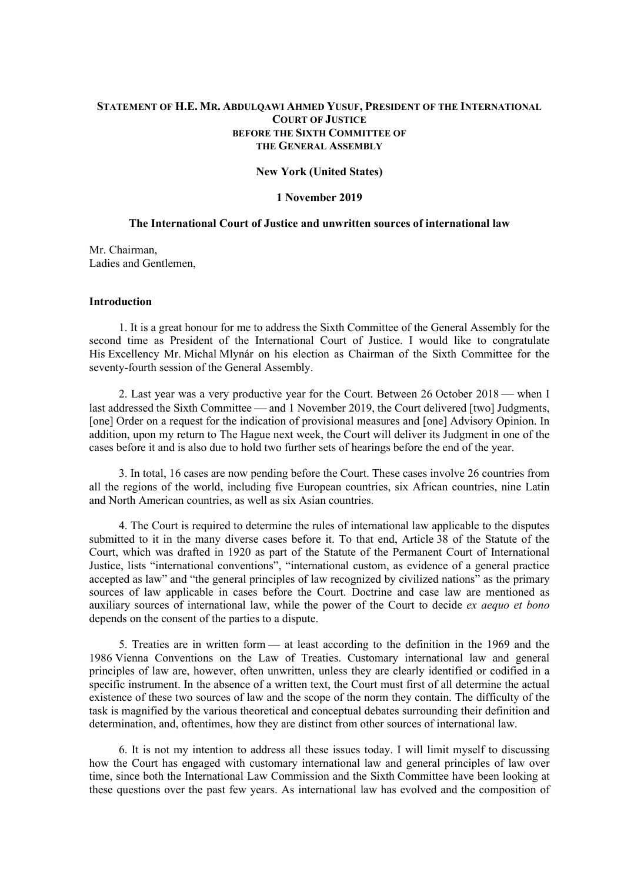# **STATEMENT OF H.E. MR. ABDULQAWI AHMED YUSUF, PRESIDENT OF THE INTERNATIONAL COURT OF JUSTICE BEFORE THE SIXTH COMMITTEE OF THE GENERAL ASSEMBLY**

### **New York (United States)**

## **1 November 2019**

# **The International Court of Justice and unwritten sources of international law**

Mr. Chairman, Ladies and Gentlemen,

## **Introduction**

 1. It is a great honour for me to address the Sixth Committee of the General Assembly for the second time as President of the International Court of Justice. I would like to congratulate His Excellency Mr. Michal Mlynár on his election as Chairman of the Sixth Committee for the seventy-fourth session of the General Assembly.

2. Last year was a very productive year for the Court. Between  $26$  October  $2018$  — when I last addressed the Sixth Committee — and 1 November 2019, the Court delivered [two] Judgments, [one] Order on a request for the indication of provisional measures and [one] Advisory Opinion. In addition, upon my return to The Hague next week, the Court will deliver its Judgment in one of the cases before it and is also due to hold two further sets of hearings before the end of the year.

 3. In total, 16 cases are now pending before the Court. These cases involve 26 countries from all the regions of the world, including five European countries, six African countries, nine Latin and North American countries, as well as six Asian countries.

 4. The Court is required to determine the rules of international law applicable to the disputes submitted to it in the many diverse cases before it. To that end, Article 38 of the Statute of the Court, which was drafted in 1920 as part of the Statute of the Permanent Court of International Justice, lists "international conventions", "international custom, as evidence of a general practice accepted as law" and "the general principles of law recognized by civilized nations" as the primary sources of law applicable in cases before the Court. Doctrine and case law are mentioned as auxiliary sources of international law, while the power of the Court to decide *ex aequo et bono* depends on the consent of the parties to a dispute.

 5. Treaties are in written form — at least according to the definition in the 1969 and the 1986 Vienna Conventions on the Law of Treaties. Customary international law and general principles of law are, however, often unwritten, unless they are clearly identified or codified in a specific instrument. In the absence of a written text, the Court must first of all determine the actual existence of these two sources of law and the scope of the norm they contain. The difficulty of the task is magnified by the various theoretical and conceptual debates surrounding their definition and determination, and, oftentimes, how they are distinct from other sources of international law.

 6. It is not my intention to address all these issues today. I will limit myself to discussing how the Court has engaged with customary international law and general principles of law over time, since both the International Law Commission and the Sixth Committee have been looking at these questions over the past few years. As international law has evolved and the composition of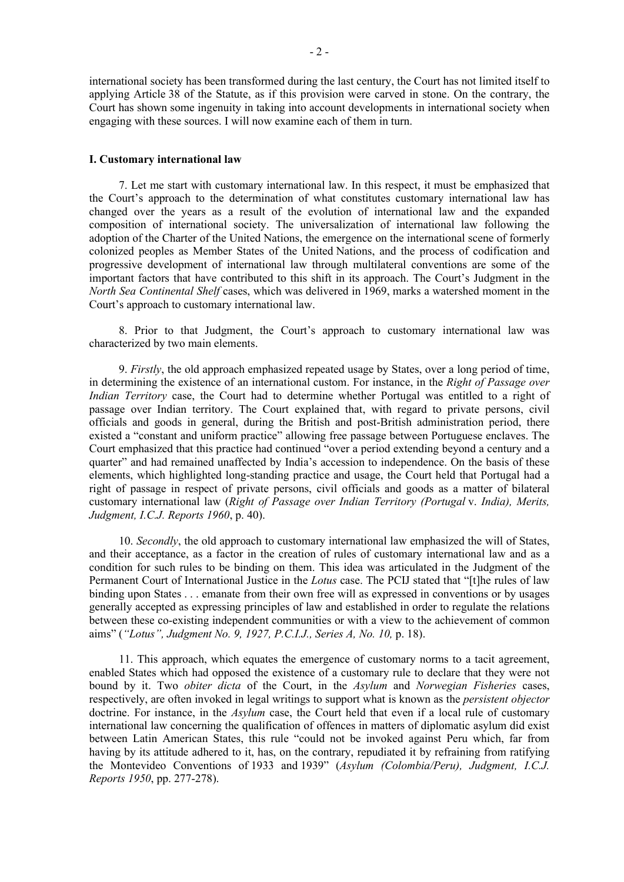international society has been transformed during the last century, the Court has not limited itself to applying Article 38 of the Statute, as if this provision were carved in stone. On the contrary, the Court has shown some ingenuity in taking into account developments in international society when engaging with these sources. I will now examine each of them in turn.

### **I. Customary international law**

 7. Let me start with customary international law. In this respect, it must be emphasized that the Court's approach to the determination of what constitutes customary international law has changed over the years as a result of the evolution of international law and the expanded composition of international society. The universalization of international law following the adoption of the Charter of the United Nations, the emergence on the international scene of formerly colonized peoples as Member States of the United Nations, and the process of codification and progressive development of international law through multilateral conventions are some of the important factors that have contributed to this shift in its approach. The Court's Judgment in the *North Sea Continental Shelf* cases, which was delivered in 1969, marks a watershed moment in the Court's approach to customary international law.

 8. Prior to that Judgment, the Court's approach to customary international law was characterized by two main elements.

 9. *Firstly*, the old approach emphasized repeated usage by States, over a long period of time, in determining the existence of an international custom. For instance, in the *Right of Passage over Indian Territory* case, the Court had to determine whether Portugal was entitled to a right of passage over Indian territory. The Court explained that, with regard to private persons, civil officials and goods in general, during the British and post-British administration period, there existed a "constant and uniform practice" allowing free passage between Portuguese enclaves. The Court emphasized that this practice had continued "over a period extending beyond a century and a quarter" and had remained unaffected by India's accession to independence. On the basis of these elements, which highlighted long-standing practice and usage, the Court held that Portugal had a right of passage in respect of private persons, civil officials and goods as a matter of bilateral customary international law (*Right of Passage over Indian Territory (Portugal* v. *India), Merits, Judgment, I.C.J. Reports 1960*, p. 40).

 10. *Secondly*, the old approach to customary international law emphasized the will of States, and their acceptance, as a factor in the creation of rules of customary international law and as a condition for such rules to be binding on them. This idea was articulated in the Judgment of the Permanent Court of International Justice in the *Lotus* case. The PCIJ stated that "[t]he rules of law binding upon States . . . emanate from their own free will as expressed in conventions or by usages generally accepted as expressing principles of law and established in order to regulate the relations between these co-existing independent communities or with a view to the achievement of common aims" (*"Lotus", Judgment No. 9, 1927, P.C.I.J., Series A, No. 10,* p. 18).

 11. This approach, which equates the emergence of customary norms to a tacit agreement, enabled States which had opposed the existence of a customary rule to declare that they were not bound by it. Two *obiter dicta* of the Court, in the *Asylum* and *Norwegian Fisheries* cases, respectively, are often invoked in legal writings to support what is known as the *persistent objector*  doctrine. For instance, in the *Asylum* case, the Court held that even if a local rule of customary international law concerning the qualification of offences in matters of diplomatic asylum did exist between Latin American States, this rule "could not be invoked against Peru which, far from having by its attitude adhered to it, has, on the contrary, repudiated it by refraining from ratifying the Montevideo Conventions of 1933 and 1939" (*Asylum (Colombia/Peru), Judgment, I.C.J. Reports 1950*, pp. 277-278).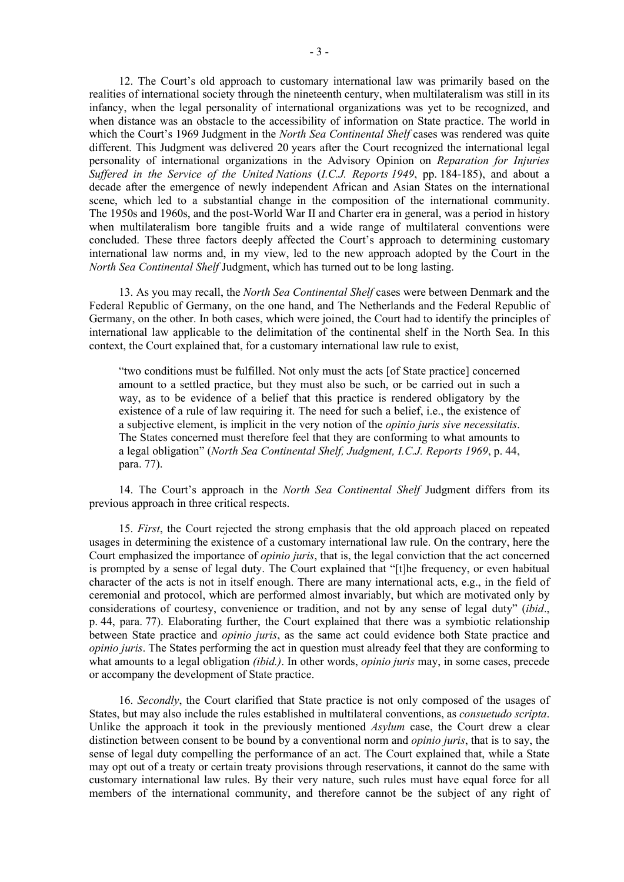12. The Court's old approach to customary international law was primarily based on the realities of international society through the nineteenth century, when multilateralism was still in its infancy, when the legal personality of international organizations was yet to be recognized, and when distance was an obstacle to the accessibility of information on State practice. The world in which the Court's 1969 Judgment in the *North Sea Continental Shelf* cases was rendered was quite different. This Judgment was delivered 20 years after the Court recognized the international legal personality of international organizations in the Advisory Opinion on *Reparation for Injuries Suffered in the Service of the United Nations* (*I.C.J. Reports 1949*, pp. 184-185), and about a decade after the emergence of newly independent African and Asian States on the international scene, which led to a substantial change in the composition of the international community. The 1950s and 1960s, and the post-World War II and Charter era in general, was a period in history when multilateralism bore tangible fruits and a wide range of multilateral conventions were concluded. These three factors deeply affected the Court's approach to determining customary international law norms and, in my view, led to the new approach adopted by the Court in the *North Sea Continental Shelf* Judgment, which has turned out to be long lasting.

 13. As you may recall, the *North Sea Continental Shelf* cases were between Denmark and the Federal Republic of Germany, on the one hand, and The Netherlands and the Federal Republic of Germany, on the other. In both cases, which were joined, the Court had to identify the principles of international law applicable to the delimitation of the continental shelf in the North Sea. In this context, the Court explained that, for a customary international law rule to exist,

"two conditions must be fulfilled. Not only must the acts [of State practice] concerned amount to a settled practice, but they must also be such, or be carried out in such a way, as to be evidence of a belief that this practice is rendered obligatory by the existence of a rule of law requiring it. The need for such a belief, i.e., the existence of a subjective element, is implicit in the very notion of the *opinio juris sive necessitatis*. The States concerned must therefore feel that they are conforming to what amounts to a legal obligation" (*North Sea Continental Shelf, Judgment, I.C.J. Reports 1969*, p. 44, para. 77).

 14. The Court's approach in the *North Sea Continental Shelf* Judgment differs from its previous approach in three critical respects.

 15. *First*, the Court rejected the strong emphasis that the old approach placed on repeated usages in determining the existence of a customary international law rule. On the contrary, here the Court emphasized the importance of *opinio juris*, that is, the legal conviction that the act concerned is prompted by a sense of legal duty. The Court explained that "[t]he frequency, or even habitual character of the acts is not in itself enough. There are many international acts, e.g., in the field of ceremonial and protocol, which are performed almost invariably, but which are motivated only by considerations of courtesy, convenience or tradition, and not by any sense of legal duty" (*ibid*., p. 44, para. 77). Elaborating further, the Court explained that there was a symbiotic relationship between State practice and *opinio juris*, as the same act could evidence both State practice and *opinio juris*. The States performing the act in question must already feel that they are conforming to what amounts to a legal obligation *(ibid.)*. In other words, *opinio juris* may, in some cases, precede or accompany the development of State practice.

 16. *Secondly*, the Court clarified that State practice is not only composed of the usages of States, but may also include the rules established in multilateral conventions, as *consuetudo scripta*. Unlike the approach it took in the previously mentioned *Asylum* case, the Court drew a clear distinction between consent to be bound by a conventional norm and *opinio juris*, that is to say, the sense of legal duty compelling the performance of an act. The Court explained that, while a State may opt out of a treaty or certain treaty provisions through reservations, it cannot do the same with customary international law rules. By their very nature, such rules must have equal force for all members of the international community, and therefore cannot be the subject of any right of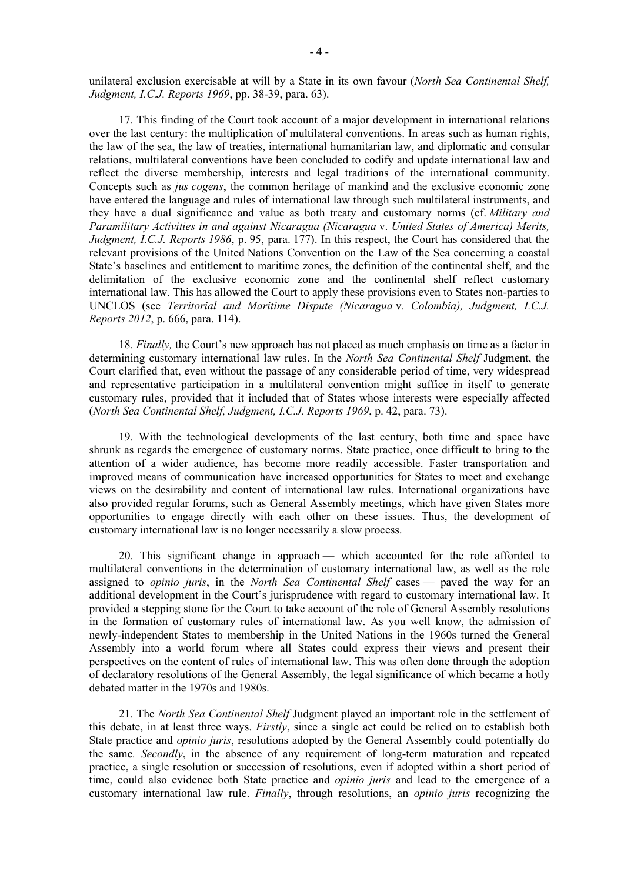unilateral exclusion exercisable at will by a State in its own favour (*North Sea Continental Shelf, Judgment, I.C.J. Reports 1969*, pp. 38-39, para. 63).

 17. This finding of the Court took account of a major development in international relations over the last century: the multiplication of multilateral conventions. In areas such as human rights, the law of the sea, the law of treaties, international humanitarian law, and diplomatic and consular relations, multilateral conventions have been concluded to codify and update international law and reflect the diverse membership, interests and legal traditions of the international community. Concepts such as *jus cogens*, the common heritage of mankind and the exclusive economic zone have entered the language and rules of international law through such multilateral instruments, and they have a dual significance and value as both treaty and customary norms (cf. *Military and Paramilitary Activities in and against Nicaragua (Nicaragua* v. *United States of America) Merits, Judgment, I.C.J. Reports 1986*, p. 95, para. 177). In this respect, the Court has considered that the relevant provisions of the United Nations Convention on the Law of the Sea concerning a coastal State's baselines and entitlement to maritime zones, the definition of the continental shelf, and the delimitation of the exclusive economic zone and the continental shelf reflect customary international law. This has allowed the Court to apply these provisions even to States non-parties to UNCLOS (see *Territorial and Maritime Dispute (Nicaragua* v*. Colombia), Judgment, I.C.J. Reports 2012*, p. 666, para. 114).

 18. *Finally,* the Court's new approach has not placed as much emphasis on time as a factor in determining customary international law rules. In the *North Sea Continental Shelf* Judgment, the Court clarified that, even without the passage of any considerable period of time, very widespread and representative participation in a multilateral convention might suffice in itself to generate customary rules, provided that it included that of States whose interests were especially affected (*North Sea Continental Shelf, Judgment, I.C.J. Reports 1969*, p. 42, para. 73).

 19. With the technological developments of the last century, both time and space have shrunk as regards the emergence of customary norms. State practice, once difficult to bring to the attention of a wider audience, has become more readily accessible. Faster transportation and improved means of communication have increased opportunities for States to meet and exchange views on the desirability and content of international law rules. International organizations have also provided regular forums, such as General Assembly meetings, which have given States more opportunities to engage directly with each other on these issues. Thus, the development of customary international law is no longer necessarily a slow process.

 20. This significant change in approach — which accounted for the role afforded to multilateral conventions in the determination of customary international law, as well as the role assigned to *opinio juris*, in the *North Sea Continental Shelf* cases — paved the way for an additional development in the Court's jurisprudence with regard to customary international law. It provided a stepping stone for the Court to take account of the role of General Assembly resolutions in the formation of customary rules of international law. As you well know, the admission of newly-independent States to membership in the United Nations in the 1960s turned the General Assembly into a world forum where all States could express their views and present their perspectives on the content of rules of international law. This was often done through the adoption of declaratory resolutions of the General Assembly, the legal significance of which became a hotly debated matter in the 1970s and 1980s.

 21. The *North Sea Continental Shelf* Judgment played an important role in the settlement of this debate, in at least three ways. *Firstly*, since a single act could be relied on to establish both State practice and *opinio juris*, resolutions adopted by the General Assembly could potentially do the same*. Secondly*, in the absence of any requirement of long-term maturation and repeated practice, a single resolution or succession of resolutions, even if adopted within a short period of time, could also evidence both State practice and *opinio juris* and lead to the emergence of a customary international law rule. *Finally*, through resolutions, an *opinio juris* recognizing the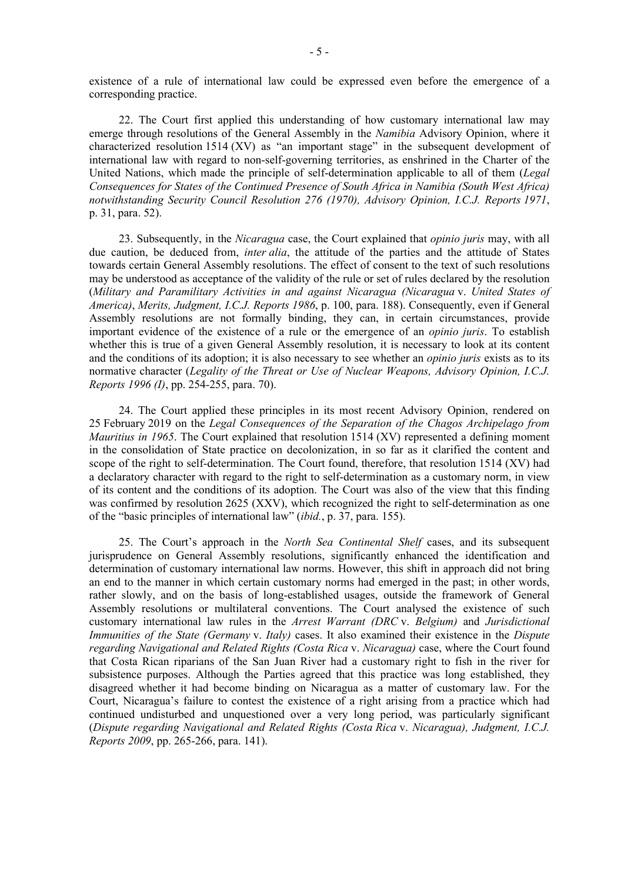existence of a rule of international law could be expressed even before the emergence of a corresponding practice.

 22. The Court first applied this understanding of how customary international law may emerge through resolutions of the General Assembly in the *Namibia* Advisory Opinion, where it characterized resolution 1514 (XV) as "an important stage" in the subsequent development of international law with regard to non-self-governing territories, as enshrined in the Charter of the United Nations, which made the principle of self-determination applicable to all of them (*Legal Consequences for States of the Continued Presence of South Africa in Namibia (South West Africa) notwithstanding Security Council Resolution 276 (1970), Advisory Opinion, I.C.J. Reports 1971*, p. 31, para. 52).

 23. Subsequently, in the *Nicaragua* case, the Court explained that *opinio juris* may, with all due caution, be deduced from, *inter alia*, the attitude of the parties and the attitude of States towards certain General Assembly resolutions. The effect of consent to the text of such resolutions may be understood as acceptance of the validity of the rule or set of rules declared by the resolution (*Military and Paramilitary Activities in and against Nicaragua (Nicaragua* v. *United States of America)*, *Merits, Judgment, I.C.J. Reports 1986*, p. 100, para. 188). Consequently, even if General Assembly resolutions are not formally binding, they can, in certain circumstances, provide important evidence of the existence of a rule or the emergence of an *opinio juris*. To establish whether this is true of a given General Assembly resolution, it is necessary to look at its content and the conditions of its adoption; it is also necessary to see whether an *opinio juris* exists as to its normative character (*Legality of the Threat or Use of Nuclear Weapons, Advisory Opinion, I.C.J. Reports 1996 (I)*, pp. 254-255, para. 70).

 24. The Court applied these principles in its most recent Advisory Opinion, rendered on 25 February 2019 on the *Legal Consequences of the Separation of the Chagos Archipelago from Mauritius in 1965*. The Court explained that resolution 1514 (XV) represented a defining moment in the consolidation of State practice on decolonization, in so far as it clarified the content and scope of the right to self-determination. The Court found, therefore, that resolution 1514 (XV) had a declaratory character with regard to the right to self-determination as a customary norm, in view of its content and the conditions of its adoption. The Court was also of the view that this finding was confirmed by resolution 2625 (XXV), which recognized the right to self-determination as one of the "basic principles of international law" (*ibid.*, p. 37, para. 155).

 25. The Court's approach in the *North Sea Continental Shelf* cases, and its subsequent jurisprudence on General Assembly resolutions, significantly enhanced the identification and determination of customary international law norms. However, this shift in approach did not bring an end to the manner in which certain customary norms had emerged in the past; in other words, rather slowly, and on the basis of long-established usages, outside the framework of General Assembly resolutions or multilateral conventions. The Court analysed the existence of such customary international law rules in the *Arrest Warrant (DRC* v. *Belgium)* and *Jurisdictional Immunities of the State (Germany* v. *Italy)* cases. It also examined their existence in the *Dispute regarding Navigational and Related Rights (Costa Rica* v. *Nicaragua)* case, where the Court found that Costa Rican riparians of the San Juan River had a customary right to fish in the river for subsistence purposes. Although the Parties agreed that this practice was long established, they disagreed whether it had become binding on Nicaragua as a matter of customary law. For the Court, Nicaragua's failure to contest the existence of a right arising from a practice which had continued undisturbed and unquestioned over a very long period, was particularly significant (*Dispute regarding Navigational and Related Rights (Costa Rica* v. *Nicaragua), Judgment, I.C.J. Reports 2009*, pp. 265-266, para. 141).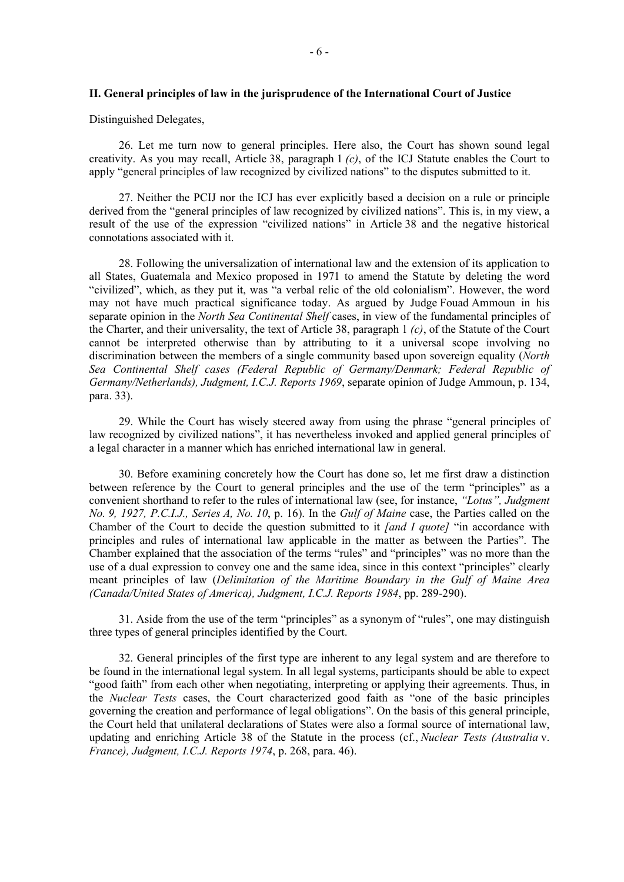### **II. General principles of law in the jurisprudence of the International Court of Justice**

Distinguished Delegates,

 26. Let me turn now to general principles. Here also, the Court has shown sound legal creativity. As you may recall, Article 38, paragraph 1 *(c)*, of the ICJ Statute enables the Court to apply "general principles of law recognized by civilized nations" to the disputes submitted to it.

 27. Neither the PCIJ nor the ICJ has ever explicitly based a decision on a rule or principle derived from the "general principles of law recognized by civilized nations". This is, in my view, a result of the use of the expression "civilized nations" in Article 38 and the negative historical connotations associated with it.

 28. Following the universalization of international law and the extension of its application to all States, Guatemala and Mexico proposed in 1971 to amend the Statute by deleting the word "civilized", which, as they put it, was "a verbal relic of the old colonialism". However, the word may not have much practical significance today. As argued by Judge Fouad Ammoun in his separate opinion in the *North Sea Continental Shelf* cases, in view of the fundamental principles of the Charter, and their universality, the text of Article 38, paragraph 1 *(c)*, of the Statute of the Court cannot be interpreted otherwise than by attributing to it a universal scope involving no discrimination between the members of a single community based upon sovereign equality (*North Sea Continental Shelf cases (Federal Republic of Germany/Denmark; Federal Republic of Germany/Netherlands), Judgment, I.C.J. Reports 1969*, separate opinion of Judge Ammoun, p. 134, para. 33).

 29. While the Court has wisely steered away from using the phrase "general principles of law recognized by civilized nations", it has nevertheless invoked and applied general principles of a legal character in a manner which has enriched international law in general.

 30. Before examining concretely how the Court has done so, let me first draw a distinction between reference by the Court to general principles and the use of the term "principles" as a convenient shorthand to refer to the rules of international law (see, for instance, *"Lotus", Judgment No. 9, 1927, P.C.I.J., Series A, No. 10*, p. 16). In the *Gulf of Maine* case, the Parties called on the Chamber of the Court to decide the question submitted to it *[and I quote]* "in accordance with principles and rules of international law applicable in the matter as between the Parties". The Chamber explained that the association of the terms "rules" and "principles" was no more than the use of a dual expression to convey one and the same idea, since in this context "principles" clearly meant principles of law (*Delimitation of the Maritime Boundary in the Gulf of Maine Area (Canada/United States of America), Judgment, I.C.J. Reports 1984*, pp. 289-290).

 31. Aside from the use of the term "principles" as a synonym of "rules", one may distinguish three types of general principles identified by the Court.

 32. General principles of the first type are inherent to any legal system and are therefore to be found in the international legal system. In all legal systems, participants should be able to expect "good faith" from each other when negotiating, interpreting or applying their agreements. Thus, in the *Nuclear Tests* cases, the Court characterized good faith as "one of the basic principles governing the creation and performance of legal obligations". On the basis of this general principle, the Court held that unilateral declarations of States were also a formal source of international law, updating and enriching Article 38 of the Statute in the process (cf., *Nuclear Tests (Australia* v. *France), Judgment, I.C.J. Reports 1974*, p. 268, para. 46).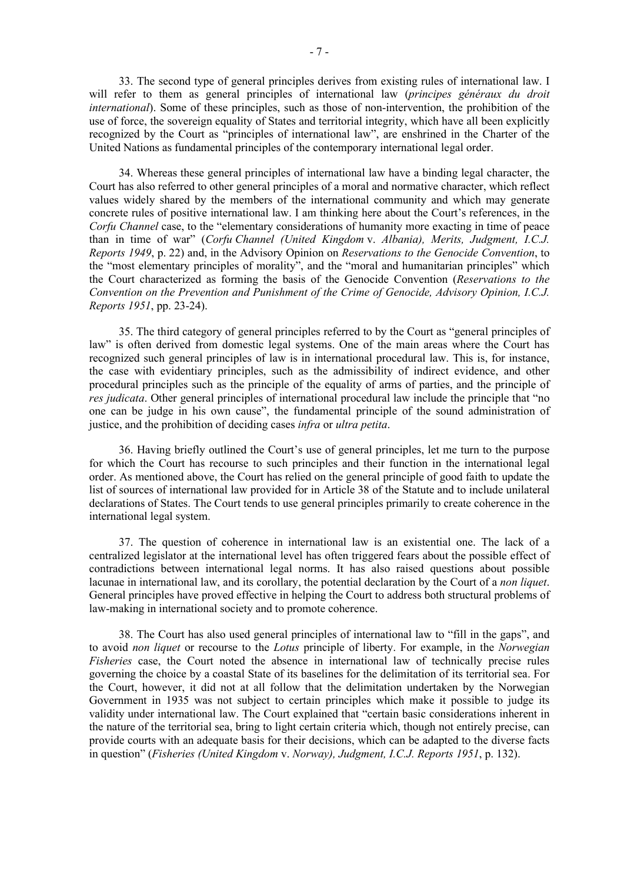33. The second type of general principles derives from existing rules of international law. I will refer to them as general principles of international law (*principes généraux du droit international*). Some of these principles, such as those of non-intervention, the prohibition of the use of force, the sovereign equality of States and territorial integrity, which have all been explicitly recognized by the Court as "principles of international law", are enshrined in the Charter of the United Nations as fundamental principles of the contemporary international legal order.

 34. Whereas these general principles of international law have a binding legal character, the Court has also referred to other general principles of a moral and normative character, which reflect values widely shared by the members of the international community and which may generate concrete rules of positive international law. I am thinking here about the Court's references, in the *Corfu Channel* case, to the "elementary considerations of humanity more exacting in time of peace than in time of war" (*Corfu Channel (United Kingdom* v. *Albania), Merits, Judgment, I.C.J. Reports 1949*, p. 22) and, in the Advisory Opinion on *Reservations to the Genocide Convention*, to the "most elementary principles of morality", and the "moral and humanitarian principles" which the Court characterized as forming the basis of the Genocide Convention (*Reservations to the Convention on the Prevention and Punishment of the Crime of Genocide, Advisory Opinion, I.C.J. Reports 1951*, pp. 23-24).

 35. The third category of general principles referred to by the Court as "general principles of law" is often derived from domestic legal systems. One of the main areas where the Court has recognized such general principles of law is in international procedural law. This is, for instance, the case with evidentiary principles, such as the admissibility of indirect evidence, and other procedural principles such as the principle of the equality of arms of parties, and the principle of *res judicata*. Other general principles of international procedural law include the principle that "no one can be judge in his own cause", the fundamental principle of the sound administration of justice, and the prohibition of deciding cases *infra* or *ultra petita*.

 36. Having briefly outlined the Court's use of general principles, let me turn to the purpose for which the Court has recourse to such principles and their function in the international legal order. As mentioned above, the Court has relied on the general principle of good faith to update the list of sources of international law provided for in Article 38 of the Statute and to include unilateral declarations of States. The Court tends to use general principles primarily to create coherence in the international legal system.

 37. The question of coherence in international law is an existential one. The lack of a centralized legislator at the international level has often triggered fears about the possible effect of contradictions between international legal norms. It has also raised questions about possible lacunae in international law, and its corollary, the potential declaration by the Court of a *non liquet*. General principles have proved effective in helping the Court to address both structural problems of law-making in international society and to promote coherence.

 38. The Court has also used general principles of international law to "fill in the gaps", and to avoid *non liquet* or recourse to the *Lotus* principle of liberty. For example, in the *Norwegian Fisheries* case, the Court noted the absence in international law of technically precise rules governing the choice by a coastal State of its baselines for the delimitation of its territorial sea. For the Court, however, it did not at all follow that the delimitation undertaken by the Norwegian Government in 1935 was not subject to certain principles which make it possible to judge its validity under international law. The Court explained that "certain basic considerations inherent in the nature of the territorial sea, bring to light certain criteria which, though not entirely precise, can provide courts with an adequate basis for their decisions, which can be adapted to the diverse facts in question" (*Fisheries (United Kingdom* v. *Norway), Judgment, I.C.J. Reports 1951*, p. 132).